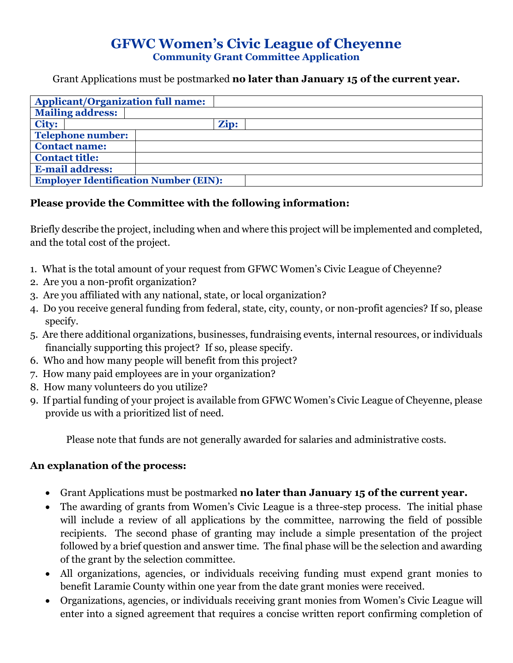## **GFWC Women's Civic League of Cheyenne Community Grant Committee Application**

Grant Applications must be postmarked **no later than January 15 of the current year.**

| <b>Applicant/Organization full name:</b>     |      |  |  |
|----------------------------------------------|------|--|--|
| <b>Mailing address:</b>                      |      |  |  |
| <b>City:</b>                                 | Zip: |  |  |
| <b>Telephone number:</b>                     |      |  |  |
| <b>Contact name:</b>                         |      |  |  |
| <b>Contact title:</b>                        |      |  |  |
| <b>E-mail address:</b>                       |      |  |  |
| <b>Employer Identification Number (EIN):</b> |      |  |  |

## **Please provide the Committee with the following information:**

Briefly describe the project, including when and where this project will be implemented and completed, and the total cost of the project.

- 1. What is the total amount of your request from GFWC Women's Civic League of Cheyenne?
- 2. Are you a non-profit organization?
- 3. Are you affiliated with any national, state, or local organization?
- 4. Do you receive general funding from federal, state, city, county, or non-profit agencies? If so, please specify.
- 5. Are there additional organizations, businesses, fundraising events, internal resources, or individuals financially supporting this project? If so, please specify.
- 6. Who and how many people will benefit from this project?
- 7. How many paid employees are in your organization?
- 8. How many volunteers do you utilize?
- 9. If partial funding of your project is available from GFWC Women's Civic League of Cheyenne, please provide us with a prioritized list of need.

Please note that funds are not generally awarded for salaries and administrative costs.

## **An explanation of the process:**

- Grant Applications must be postmarked **no later than January 15 of the current year.**
- The awarding of grants from Women's Civic League is a three-step process. The initial phase will include a review of all applications by the committee, narrowing the field of possible recipients. The second phase of granting may include a simple presentation of the project followed by a brief question and answer time. The final phase will be the selection and awarding of the grant by the selection committee.
- All organizations, agencies, or individuals receiving funding must expend grant monies to benefit Laramie County within one year from the date grant monies were received.
- Organizations, agencies, or individuals receiving grant monies from Women's Civic League will enter into a signed agreement that requires a concise written report confirming completion of